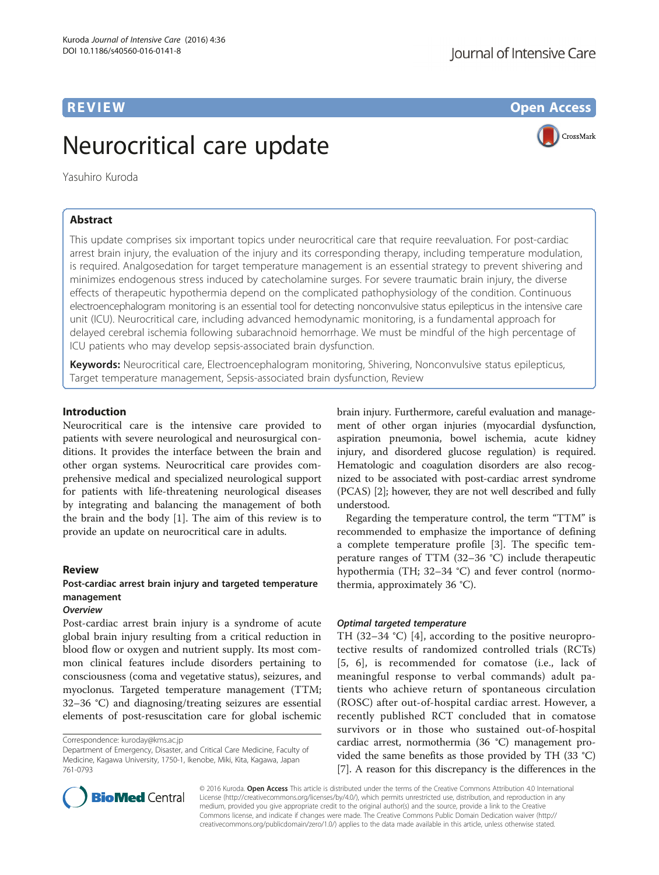# Neurocritical care update

Yasuhiro Kuroda

# Abstract

This update comprises six important topics under neurocritical care that require reevaluation. For post-cardiac arrest brain injury, the evaluation of the injury and its corresponding therapy, including temperature modulation, is required. Analgosedation for target temperature management is an essential strategy to prevent shivering and minimizes endogenous stress induced by catecholamine surges. For severe traumatic brain injury, the diverse effects of therapeutic hypothermia depend on the complicated pathophysiology of the condition. Continuous electroencephalogram monitoring is an essential tool for detecting nonconvulsive status epilepticus in the intensive care unit (ICU). Neurocritical care, including advanced hemodynamic monitoring, is a fundamental approach for delayed cerebral ischemia following subarachnoid hemorrhage. We must be mindful of the high percentage of ICU patients who may develop sepsis-associated brain dysfunction.

Keywords: Neurocritical care, Electroencephalogram monitoring, Shivering, Nonconvulsive status epilepticus, Target temperature management, Sepsis-associated brain dysfunction, Review

#### Introduction

Neurocritical care is the intensive care provided to patients with severe neurological and neurosurgical conditions. It provides the interface between the brain and other organ systems. Neurocritical care provides comprehensive medical and specialized neurological support for patients with life-threatening neurological diseases by integrating and balancing the management of both the brain and the body [[1\]](#page-7-0). The aim of this review is to provide an update on neurocritical care in adults.

#### Review

# Post-cardiac arrest brain injury and targeted temperature management

# **Overview**

Post-cardiac arrest brain injury is a syndrome of acute global brain injury resulting from a critical reduction in blood flow or oxygen and nutrient supply. Its most common clinical features include disorders pertaining to consciousness (coma and vegetative status), seizures, and myoclonus. Targeted temperature management (TTM; 32–36 °C) and diagnosing/treating seizures are essential elements of post-resuscitation care for global ischemic

Department of Emergency, Disaster, and Critical Care Medicine, Faculty of Medicine, Kagawa University, 1750-1, Ikenobe, Miki, Kita, Kagawa, Japan 761-0793

brain injury. Furthermore, careful evaluation and management of other organ injuries (myocardial dysfunction, aspiration pneumonia, bowel ischemia, acute kidney injury, and disordered glucose regulation) is required. Hematologic and coagulation disorders are also recognized to be associated with post-cardiac arrest syndrome (PCAS) [\[2](#page-7-0)]; however, they are not well described and fully understood.

Regarding the temperature control, the term "TTM" is recommended to emphasize the importance of defining a complete temperature profile [[3\]](#page-7-0). The specific temperature ranges of TTM (32–36 °C) include therapeutic hypothermia (TH; 32–34 °C) and fever control (normothermia, approximately 36 °C).

#### Optimal targeted temperature

TH (32–34 °C) [[4\]](#page-7-0), according to the positive neuroprotective results of randomized controlled trials (RCTs) [[5](#page-7-0), [6\]](#page-7-0), is recommended for comatose (i.e., lack of meaningful response to verbal commands) adult patients who achieve return of spontaneous circulation (ROSC) after out-of-hospital cardiac arrest. However, a recently published RCT concluded that in comatose survivors or in those who sustained out-of-hospital cardiac arrest, normothermia (36 °C) management provided the same benefits as those provided by TH (33 °C) [[7\]](#page-7-0). A reason for this discrepancy is the differences in the



© 2016 Kuroda. Open Access This article is distributed under the terms of the Creative Commons Attribution 4.0 International License ([http://creativecommons.org/licenses/by/4.0/\)](http://creativecommons.org/licenses/by/4.0/), which permits unrestricted use, distribution, and reproduction in any medium, provided you give appropriate credit to the original author(s) and the source, provide a link to the Creative Commons license, and indicate if changes were made. The Creative Commons Public Domain Dedication waiver ([http://](http://creativecommons.org/publicdomain/zero/1.0/) [creativecommons.org/publicdomain/zero/1.0/\)](http://creativecommons.org/publicdomain/zero/1.0/) applies to the data made available in this article, unless otherwise stated.

**REVIEW CONSTRUCTION CONSTRUCTION CONSTRUCTS** 



Correspondence: [kuroday@kms.ac.jp](mailto:kuroday@kms.ac.jp)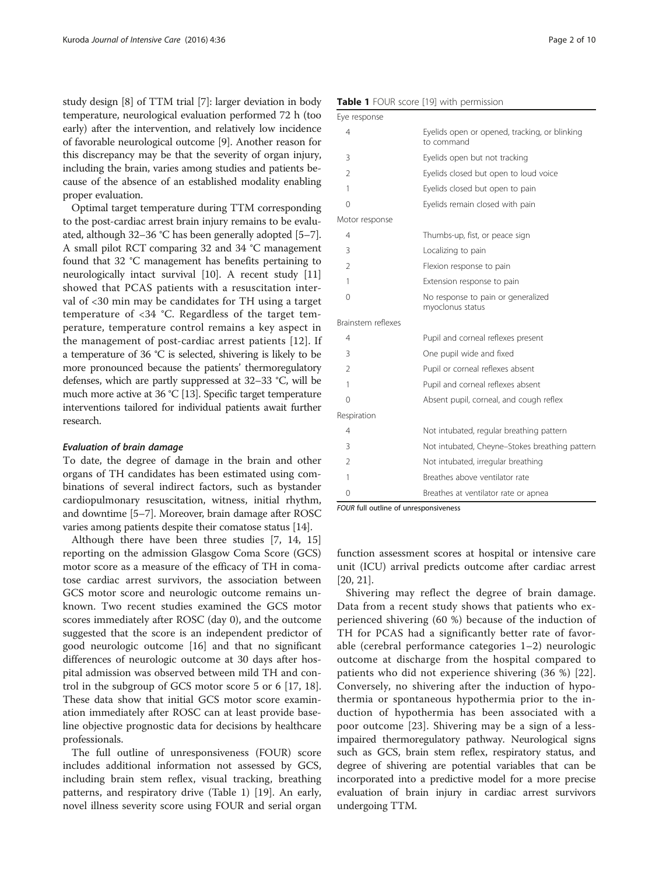study design [[8\]](#page-7-0) of TTM trial [[7](#page-7-0)]: larger deviation in body temperature, neurological evaluation performed 72 h (too early) after the intervention, and relatively low incidence of favorable neurological outcome [\[9](#page-7-0)]. Another reason for this discrepancy may be that the severity of organ injury, including the brain, varies among studies and patients because of the absence of an established modality enabling proper evaluation.

Optimal target temperature during TTM corresponding to the post-cardiac arrest brain injury remains to be evaluated, although 32–36 °C has been generally adopted [[5](#page-7-0)–[7](#page-7-0)]. A small pilot RCT comparing 32 and 34 °C management found that 32 °C management has benefits pertaining to neurologically intact survival [\[10\]](#page-7-0). A recent study [[11](#page-7-0)] showed that PCAS patients with a resuscitation interval of <30 min may be candidates for TH using a target temperature of <34 °C. Regardless of the target temperature, temperature control remains a key aspect in the management of post-cardiac arrest patients [[12](#page-7-0)]. If a temperature of 36 °C is selected, shivering is likely to be more pronounced because the patients' thermoregulatory defenses, which are partly suppressed at 32–33 °C, will be much more active at 36 °C [\[13](#page-7-0)]. Specific target temperature interventions tailored for individual patients await further research.

#### Evaluation of brain damage

To date, the degree of damage in the brain and other organs of TH candidates has been estimated using combinations of several indirect factors, such as bystander cardiopulmonary resuscitation, witness, initial rhythm, and downtime [\[5](#page-7-0)–[7\]](#page-7-0). Moreover, brain damage after ROSC varies among patients despite their comatose status [[14](#page-7-0)].

Although there have been three studies [\[7](#page-7-0), [14, 15](#page-7-0)] reporting on the admission Glasgow Coma Score (GCS) motor score as a measure of the efficacy of TH in comatose cardiac arrest survivors, the association between GCS motor score and neurologic outcome remains unknown. Two recent studies examined the GCS motor scores immediately after ROSC (day 0), and the outcome suggested that the score is an independent predictor of good neurologic outcome [\[16\]](#page-7-0) and that no significant differences of neurologic outcome at 30 days after hospital admission was observed between mild TH and control in the subgroup of GCS motor score 5 or 6 [\[17](#page-7-0), [18](#page-7-0)]. These data show that initial GCS motor score examination immediately after ROSC can at least provide baseline objective prognostic data for decisions by healthcare professionals.

The full outline of unresponsiveness (FOUR) score includes additional information not assessed by GCS, including brain stem reflex, visual tracking, breathing patterns, and respiratory drive (Table 1) [\[19\]](#page-7-0). An early, novel illness severity score using FOUR and serial organ

Table 1 FOUR score [[19\]](#page-7-0) with permission

| Eye response       |                                                             |
|--------------------|-------------------------------------------------------------|
| 4                  | Eyelids open or opened, tracking, or blinking<br>to command |
| 3                  | Eyelids open but not tracking                               |
| $\mathfrak{D}$     | Eyelids closed but open to loud voice                       |
| 1                  | Eyelids closed but open to pain                             |
| 0                  | Eyelids remain closed with pain                             |
| Motor response     |                                                             |
| 4                  | Thumbs-up, fist, or peace sign                              |
| 3                  | Localizing to pain                                          |
| $\overline{2}$     | Flexion response to pain                                    |
| 1                  | Extension response to pain                                  |
| $\Omega$           | No response to pain or generalized<br>myoclonus status      |
| Brainstem reflexes |                                                             |
| 4                  | Pupil and corneal reflexes present                          |
| 3                  | One pupil wide and fixed                                    |
| $\mathfrak{D}$     | Pupil or corneal reflexes absent                            |
| 1                  | Pupil and corneal reflexes absent                           |
| 0                  | Absent pupil, corneal, and cough reflex                     |
| Respiration        |                                                             |
| 4                  | Not intubated, regular breathing pattern                    |
| 3                  | Not intubated, Cheyne-Stokes breathing pattern              |
| $\overline{2}$     | Not intubated, irregular breathing                          |
| 1                  | Breathes above ventilator rate                              |
| 0                  | Breathes at ventilator rate or apnea                        |

FOUR full outline of unresponsiveness

function assessment scores at hospital or intensive care unit (ICU) arrival predicts outcome after cardiac arrest [[20, 21\]](#page-7-0).

Shivering may reflect the degree of brain damage. Data from a recent study shows that patients who experienced shivering (60 %) because of the induction of TH for PCAS had a significantly better rate of favorable (cerebral performance categories 1–2) neurologic outcome at discharge from the hospital compared to patients who did not experience shivering (36 %) [[22](#page-7-0)]. Conversely, no shivering after the induction of hypothermia or spontaneous hypothermia prior to the induction of hypothermia has been associated with a poor outcome [[23](#page-7-0)]. Shivering may be a sign of a lessimpaired thermoregulatory pathway. Neurological signs such as GCS, brain stem reflex, respiratory status, and degree of shivering are potential variables that can be incorporated into a predictive model for a more precise evaluation of brain injury in cardiac arrest survivors undergoing TTM.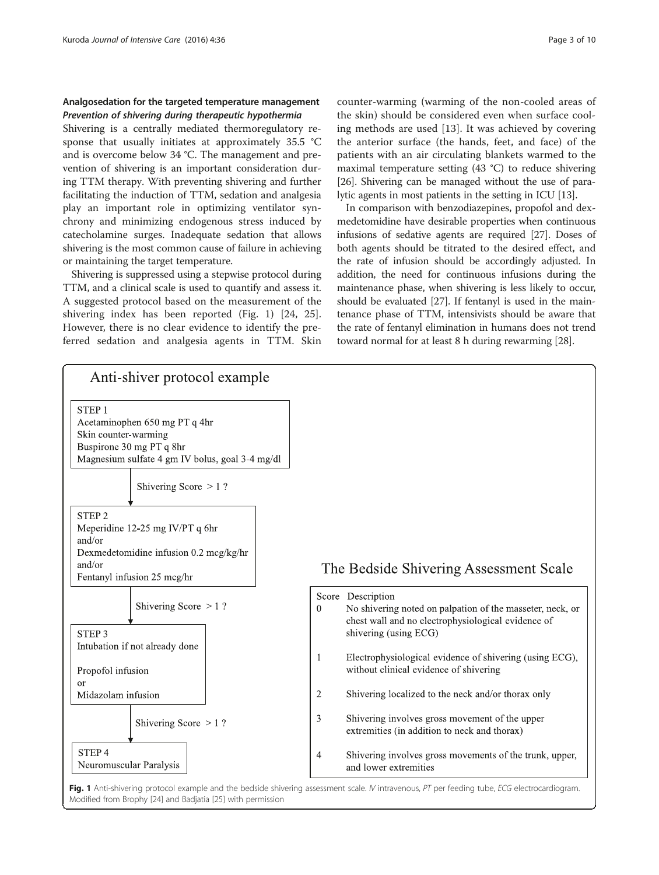## <span id="page-2-0"></span>Analgosedation for the targeted temperature management Prevention of shivering during therapeutic hypothermia

Shivering is a centrally mediated thermoregulatory response that usually initiates at approximately 35.5 °C and is overcome below 34 °C. The management and prevention of shivering is an important consideration during TTM therapy. With preventing shivering and further facilitating the induction of TTM, sedation and analgesia play an important role in optimizing ventilator synchrony and minimizing endogenous stress induced by catecholamine surges. Inadequate sedation that allows shivering is the most common cause of failure in achieving or maintaining the target temperature.

Shivering is suppressed using a stepwise protocol during TTM, and a clinical scale is used to quantify and assess it. A suggested protocol based on the measurement of the shivering index has been reported (Fig. 1) [[24, 25](#page-7-0)]. However, there is no clear evidence to identify the preferred sedation and analgesia agents in TTM. Skin counter-warming (warming of the non-cooled areas of the skin) should be considered even when surface cooling methods are used [[13](#page-7-0)]. It was achieved by covering the anterior surface (the hands, feet, and face) of the patients with an air circulating blankets warmed to the maximal temperature setting (43 °C) to reduce shivering [[26](#page-7-0)]. Shivering can be managed without the use of paralytic agents in most patients in the setting in ICU [\[13\]](#page-7-0).

In comparison with benzodiazepines, propofol and dexmedetomidine have desirable properties when continuous infusions of sedative agents are required [[27](#page-7-0)]. Doses of both agents should be titrated to the desired effect, and the rate of infusion should be accordingly adjusted. In addition, the need for continuous infusions during the maintenance phase, when shivering is less likely to occur, should be evaluated [\[27\]](#page-7-0). If fentanyl is used in the maintenance phase of TTM, intensivists should be aware that the rate of fentanyl elimination in humans does not trend toward normal for at least 8 h during rewarming [[28](#page-7-0)].



Fig. 1 Anti-shivering protocol example and the bedside shivering assessment scale. IV intravenous, PT per feeding tube, ECG electrocardiogram. Modified from Brophy [[24\]](#page-7-0) and Badjatia [[25](#page-7-0)] with permission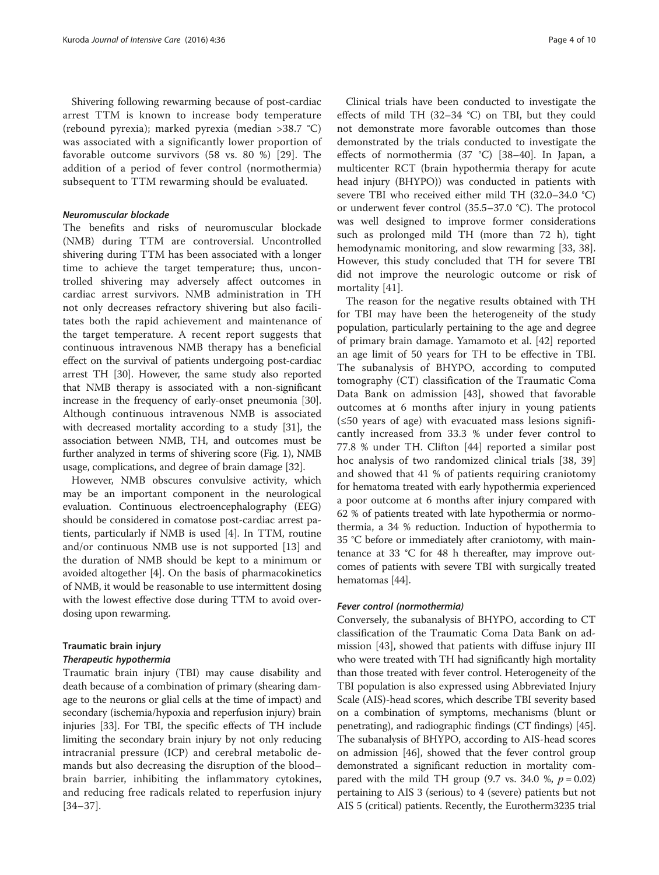Shivering following rewarming because of post-cardiac arrest TTM is known to increase body temperature (rebound pyrexia); marked pyrexia (median >38.7 °C) was associated with a significantly lower proportion of favorable outcome survivors (58 vs. 80 %) [\[29](#page-7-0)]. The addition of a period of fever control (normothermia) subsequent to TTM rewarming should be evaluated.

#### Neuromuscular blockade

The benefits and risks of neuromuscular blockade (NMB) during TTM are controversial. Uncontrolled shivering during TTM has been associated with a longer time to achieve the target temperature; thus, uncontrolled shivering may adversely affect outcomes in cardiac arrest survivors. NMB administration in TH not only decreases refractory shivering but also facilitates both the rapid achievement and maintenance of the target temperature. A recent report suggests that continuous intravenous NMB therapy has a beneficial effect on the survival of patients undergoing post-cardiac arrest TH [[30](#page-7-0)]. However, the same study also reported that NMB therapy is associated with a non-significant increase in the frequency of early-onset pneumonia [[30](#page-7-0)]. Although continuous intravenous NMB is associated with decreased mortality according to a study [\[31](#page-7-0)], the association between NMB, TH, and outcomes must be further analyzed in terms of shivering score (Fig. [1](#page-2-0)), NMB usage, complications, and degree of brain damage [\[32\]](#page-7-0).

However, NMB obscures convulsive activity, which may be an important component in the neurological evaluation. Continuous electroencephalography (EEG) should be considered in comatose post-cardiac arrest patients, particularly if NMB is used [\[4](#page-7-0)]. In TTM, routine and/or continuous NMB use is not supported [\[13](#page-7-0)] and the duration of NMB should be kept to a minimum or avoided altogether [[4](#page-7-0)]. On the basis of pharmacokinetics of NMB, it would be reasonable to use intermittent dosing with the lowest effective dose during TTM to avoid overdosing upon rewarming.

#### Traumatic brain injury

#### Therapeutic hypothermia

Traumatic brain injury (TBI) may cause disability and death because of a combination of primary (shearing damage to the neurons or glial cells at the time of impact) and secondary (ischemia/hypoxia and reperfusion injury) brain injuries [\[33\]](#page-7-0). For TBI, the specific effects of TH include limiting the secondary brain injury by not only reducing intracranial pressure (ICP) and cerebral metabolic demands but also decreasing the disruption of the blood– brain barrier, inhibiting the inflammatory cytokines, and reducing free radicals related to reperfusion injury [[34](#page-7-0)–[37\]](#page-7-0).

Clinical trials have been conducted to investigate the effects of mild TH (32–34 °C) on TBI, but they could not demonstrate more favorable outcomes than those demonstrated by the trials conducted to investigate the effects of normothermia (37 °C) [[38](#page-7-0)–[40](#page-8-0)]. In Japan, a multicenter RCT (brain hypothermia therapy for acute head injury (BHYPO)) was conducted in patients with severe TBI who received either mild TH (32.0–34.0 °C) or underwent fever control (35.5–37.0 °C). The protocol was well designed to improve former considerations such as prolonged mild TH (more than 72 h), tight hemodynamic monitoring, and slow rewarming [\[33, 38](#page-7-0)]. However, this study concluded that TH for severe TBI did not improve the neurologic outcome or risk of mortality [[41](#page-8-0)].

The reason for the negative results obtained with TH for TBI may have been the heterogeneity of the study population, particularly pertaining to the age and degree of primary brain damage. Yamamoto et al. [\[42](#page-8-0)] reported an age limit of 50 years for TH to be effective in TBI. The subanalysis of BHYPO, according to computed tomography (CT) classification of the Traumatic Coma Data Bank on admission [[43](#page-8-0)], showed that favorable outcomes at 6 months after injury in young patients (≤50 years of age) with evacuated mass lesions significantly increased from 33.3 % under fever control to 77.8 % under TH. Clifton [[44\]](#page-8-0) reported a similar post hoc analysis of two randomized clinical trials [[38, 39](#page-7-0)] and showed that 41 % of patients requiring craniotomy for hematoma treated with early hypothermia experienced a poor outcome at 6 months after injury compared with 62 % of patients treated with late hypothermia or normothermia, a 34 % reduction. Induction of hypothermia to 35 °C before or immediately after craniotomy, with maintenance at 33 °C for 48 h thereafter, may improve outcomes of patients with severe TBI with surgically treated hematomas [[44](#page-8-0)].

#### Fever control (normothermia)

Conversely, the subanalysis of BHYPO, according to CT classification of the Traumatic Coma Data Bank on admission [[43](#page-8-0)], showed that patients with diffuse injury III who were treated with TH had significantly high mortality than those treated with fever control. Heterogeneity of the TBI population is also expressed using Abbreviated Injury Scale (AIS)-head scores, which describe TBI severity based on a combination of symptoms, mechanisms (blunt or penetrating), and radiographic findings (CT findings) [[45](#page-8-0)]. The subanalysis of BHYPO, according to AIS-head scores on admission [\[46\]](#page-8-0), showed that the fever control group demonstrated a significant reduction in mortality compared with the mild TH group (9.7 vs. 34.0 %,  $p = 0.02$ ) pertaining to AIS 3 (serious) to 4 (severe) patients but not AIS 5 (critical) patients. Recently, the Eurotherm3235 trial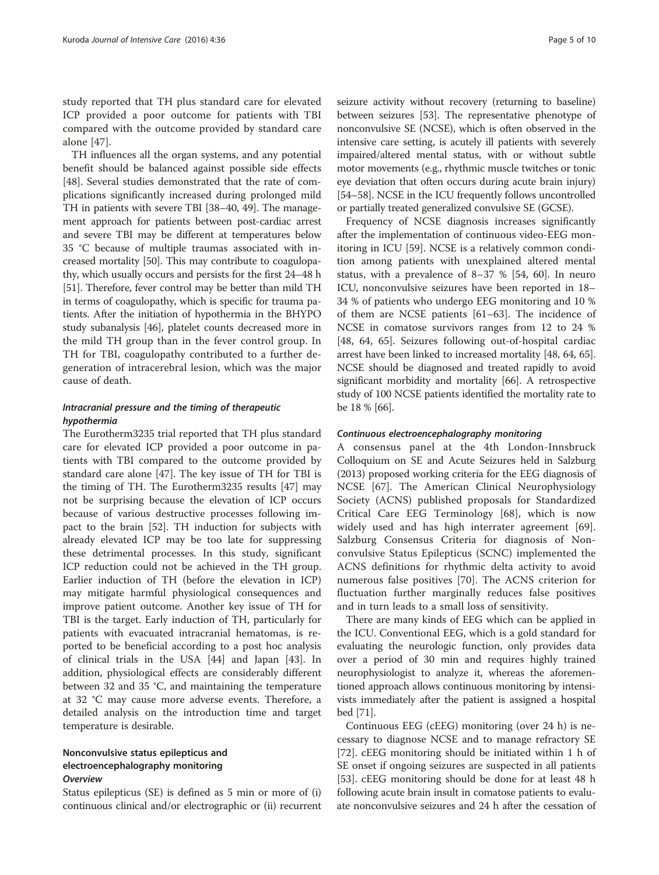study reported that TH plus standard care for elevated ICP provided a poor outcome for patients with TBI compared with the outcome provided by standard care alone [\[47](#page-8-0)].

TH influences all the organ systems, and any potential benefit should be balanced against possible side effects [[48\]](#page-8-0). Several studies demonstrated that the rate of complications significantly increased during prolonged mild TH in patients with severe TBI [[38](#page-7-0)–[40, 49\]](#page-8-0). The management approach for patients between post-cardiac arrest and severe TBI may be different at temperatures below 35 °C because of multiple traumas associated with increased mortality [\[50\]](#page-8-0). This may contribute to coagulopathy, which usually occurs and persists for the first 24–48 h [[51](#page-8-0)]. Therefore, fever control may be better than mild TH in terms of coagulopathy, which is specific for trauma patients. After the initiation of hypothermia in the BHYPO study subanalysis [\[46\]](#page-8-0), platelet counts decreased more in the mild TH group than in the fever control group. In TH for TBI, coagulopathy contributed to a further degeneration of intracerebral lesion, which was the major cause of death.

### Intracranial pressure and the timing of therapeutic hypothermia

The Eurotherm3235 trial reported that TH plus standard care for elevated ICP provided a poor outcome in patients with TBI compared to the outcome provided by standard care alone [[47\]](#page-8-0). The key issue of TH for TBI is the timing of TH. The Eurotherm3235 results [[47\]](#page-8-0) may not be surprising because the elevation of ICP occurs because of various destructive processes following impact to the brain [\[52](#page-8-0)]. TH induction for subjects with already elevated ICP may be too late for suppressing these detrimental processes. In this study, significant ICP reduction could not be achieved in the TH group. Earlier induction of TH (before the elevation in ICP) may mitigate harmful physiological consequences and improve patient outcome. Another key issue of TH for TBI is the target. Early induction of TH, particularly for patients with evacuated intracranial hematomas, is reported to be beneficial according to a post hoc analysis of clinical trials in the USA [[44](#page-8-0)] and Japan [\[43\]](#page-8-0). In addition, physiological effects are considerably different between 32 and 35 °C, and maintaining the temperature at 32 °C may cause more adverse events. Therefore, a detailed analysis on the introduction time and target temperature is desirable.

# Nonconvulsive status epilepticus and electroencephalography monitoring **Overview**

Status epilepticus (SE) is defined as 5 min or more of (i) continuous clinical and/or electrographic or (ii) recurrent seizure activity without recovery (returning to baseline) between seizures [\[53](#page-8-0)]. The representative phenotype of nonconvulsive SE (NCSE), which is often observed in the intensive care setting, is acutely ill patients with severely impaired/altered mental status, with or without subtle motor movements (e.g., rhythmic muscle twitches or tonic eye deviation that often occurs during acute brain injury) [[54](#page-8-0)–[58\]](#page-8-0). NCSE in the ICU frequently follows uncontrolled or partially treated generalized convulsive SE (GCSE).

Frequency of NCSE diagnosis increases significantly after the implementation of continuous video-EEG monitoring in ICU [[59\]](#page-8-0). NCSE is a relatively common condition among patients with unexplained altered mental status, with a prevalence of 8–37 % [[54, 60\]](#page-8-0). In neuro ICU, nonconvulsive seizures have been reported in 18– 34 % of patients who undergo EEG monitoring and 10 % of them are NCSE patients [\[61](#page-8-0)–[63\]](#page-8-0). The incidence of NCSE in comatose survivors ranges from 12 to 24 % [[48, 64, 65\]](#page-8-0). Seizures following out-of-hospital cardiac arrest have been linked to increased mortality [\[48](#page-8-0), [64, 65](#page-8-0)]. NCSE should be diagnosed and treated rapidly to avoid significant morbidity and mortality [[66](#page-8-0)]. A retrospective study of 100 NCSE patients identified the mortality rate to be 18 % [\[66](#page-8-0)].

#### Continuous electroencephalography monitoring

A consensus panel at the 4th London-Innsbruck Colloquium on SE and Acute Seizures held in Salzburg (2013) proposed working criteria for the EEG diagnosis of NCSE [\[67](#page-8-0)]. The American Clinical Neurophysiology Society (ACNS) published proposals for Standardized Critical Care EEG Terminology [\[68](#page-8-0)], which is now widely used and has high interrater agreement [\[69](#page-8-0)]. Salzburg Consensus Criteria for diagnosis of Nonconvulsive Status Epilepticus (SCNC) implemented the ACNS definitions for rhythmic delta activity to avoid numerous false positives [\[70](#page-8-0)]. The ACNS criterion for fluctuation further marginally reduces false positives and in turn leads to a small loss of sensitivity.

There are many kinds of EEG which can be applied in the ICU. Conventional EEG, which is a gold standard for evaluating the neurologic function, only provides data over a period of 30 min and requires highly trained neurophysiologist to analyze it, whereas the aforementioned approach allows continuous monitoring by intensivists immediately after the patient is assigned a hospital bed [\[71\]](#page-8-0).

Continuous EEG (cEEG) monitoring (over 24 h) is necessary to diagnose NCSE and to manage refractory SE [[72\]](#page-8-0). cEEG monitoring should be initiated within 1 h of SE onset if ongoing seizures are suspected in all patients [[53\]](#page-8-0). cEEG monitoring should be done for at least 48 h following acute brain insult in comatose patients to evaluate nonconvulsive seizures and 24 h after the cessation of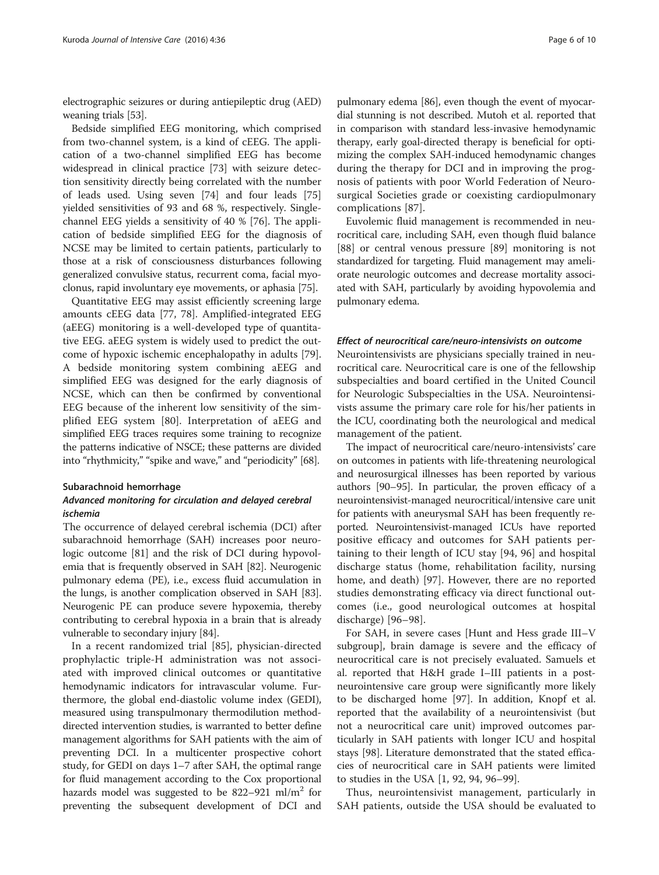electrographic seizures or during antiepileptic drug (AED) weaning trials [[53](#page-8-0)].

Bedside simplified EEG monitoring, which comprised from two-channel system, is a kind of cEEG. The application of a two-channel simplified EEG has become widespread in clinical practice [[73](#page-8-0)] with seizure detection sensitivity directly being correlated with the number of leads used. Using seven [\[74\]](#page-8-0) and four leads [[75](#page-8-0)] yielded sensitivities of 93 and 68 %, respectively. Singlechannel EEG yields a sensitivity of 40 % [\[76\]](#page-8-0). The application of bedside simplified EEG for the diagnosis of NCSE may be limited to certain patients, particularly to those at a risk of consciousness disturbances following generalized convulsive status, recurrent coma, facial myoclonus, rapid involuntary eye movements, or aphasia [[75](#page-8-0)].

Quantitative EEG may assist efficiently screening large amounts cEEG data [[77](#page-8-0), [78](#page-8-0)]. Amplified-integrated EEG (aEEG) monitoring is a well-developed type of quantitative EEG. aEEG system is widely used to predict the outcome of hypoxic ischemic encephalopathy in adults [\[79](#page-8-0)]. A bedside monitoring system combining aEEG and simplified EEG was designed for the early diagnosis of NCSE, which can then be confirmed by conventional EEG because of the inherent low sensitivity of the simplified EEG system [[80\]](#page-8-0). Interpretation of aEEG and simplified EEG traces requires some training to recognize the patterns indicative of NSCE; these patterns are divided into "rhythmicity," "spike and wave," and "periodicity" [\[68\]](#page-8-0).

#### Subarachnoid hemorrhage

#### Advanced monitoring for circulation and delayed cerebral ischemia

The occurrence of delayed cerebral ischemia (DCI) after subarachnoid hemorrhage (SAH) increases poor neurologic outcome [[81](#page-8-0)] and the risk of DCI during hypovolemia that is frequently observed in SAH [\[82\]](#page-9-0). Neurogenic pulmonary edema (PE), i.e., excess fluid accumulation in the lungs, is another complication observed in SAH [[83](#page-9-0)]. Neurogenic PE can produce severe hypoxemia, thereby contributing to cerebral hypoxia in a brain that is already vulnerable to secondary injury [\[84\]](#page-9-0).

In a recent randomized trial [[85\]](#page-9-0), physician-directed prophylactic triple-H administration was not associated with improved clinical outcomes or quantitative hemodynamic indicators for intravascular volume. Furthermore, the global end-diastolic volume index (GEDI), measured using transpulmonary thermodilution methoddirected intervention studies, is warranted to better define management algorithms for SAH patients with the aim of preventing DCI. In a multicenter prospective cohort study, for GEDI on days 1–7 after SAH, the optimal range for fluid management according to the Cox proportional hazards model was suggested to be  $822-921$  ml/m<sup>2</sup> for preventing the subsequent development of DCI and

pulmonary edema [[86](#page-9-0)], even though the event of myocardial stunning is not described. Mutoh et al. reported that in comparison with standard less-invasive hemodynamic therapy, early goal-directed therapy is beneficial for optimizing the complex SAH-induced hemodynamic changes during the therapy for DCI and in improving the prognosis of patients with poor World Federation of Neurosurgical Societies grade or coexisting cardiopulmonary complications [[87\]](#page-9-0).

Euvolemic fluid management is recommended in neurocritical care, including SAH, even though fluid balance [[88\]](#page-9-0) or central venous pressure [\[89\]](#page-9-0) monitoring is not standardized for targeting. Fluid management may ameliorate neurologic outcomes and decrease mortality associated with SAH, particularly by avoiding hypovolemia and pulmonary edema.

#### Effect of neurocritical care/neuro-intensivists on outcome

Neurointensivists are physicians specially trained in neurocritical care. Neurocritical care is one of the fellowship subspecialties and board certified in the United Council for Neurologic Subspecialties in the USA. Neurointensivists assume the primary care role for his/her patients in the ICU, coordinating both the neurological and medical management of the patient.

The impact of neurocritical care/neuro-intensivists' care on outcomes in patients with life-threatening neurological and neurosurgical illnesses has been reported by various authors [\[90](#page-9-0)–[95](#page-9-0)]. In particular, the proven efficacy of a neurointensivist-managed neurocritical/intensive care unit for patients with aneurysmal SAH has been frequently reported. Neurointensivist-managed ICUs have reported positive efficacy and outcomes for SAH patients pertaining to their length of ICU stay [\[94](#page-9-0), [96\]](#page-9-0) and hospital discharge status (home, rehabilitation facility, nursing home, and death) [[97\]](#page-9-0). However, there are no reported studies demonstrating efficacy via direct functional outcomes (i.e., good neurological outcomes at hospital discharge) [\[96](#page-9-0)–[98](#page-9-0)].

For SAH, in severe cases [Hunt and Hess grade III–V subgroup], brain damage is severe and the efficacy of neurocritical care is not precisely evaluated. Samuels et al. reported that H&H grade I–III patients in a postneurointensive care group were significantly more likely to be discharged home [\[97](#page-9-0)]. In addition, Knopf et al. reported that the availability of a neurointensivist (but not a neurocritical care unit) improved outcomes particularly in SAH patients with longer ICU and hospital stays [\[98](#page-9-0)]. Literature demonstrated that the stated efficacies of neurocritical care in SAH patients were limited to studies in the USA [\[1,](#page-7-0) [92, 94, 96](#page-9-0)–[99](#page-9-0)].

Thus, neurointensivist management, particularly in SAH patients, outside the USA should be evaluated to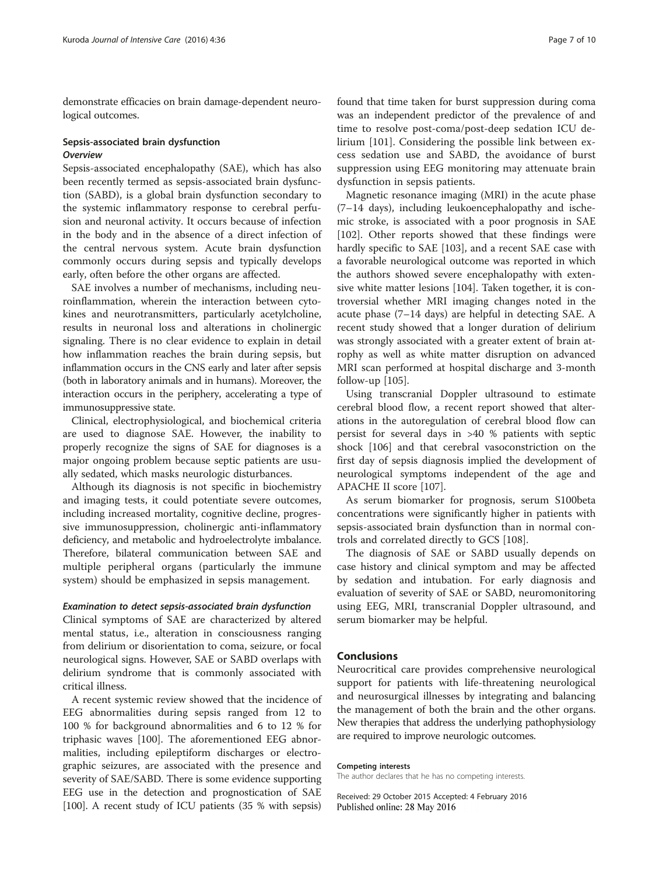demonstrate efficacies on brain damage-dependent neurological outcomes.

#### Sepsis-associated brain dysfunction **Overview**

Sepsis-associated encephalopathy (SAE), which has also been recently termed as sepsis-associated brain dysfunction (SABD), is a global brain dysfunction secondary to the systemic inflammatory response to cerebral perfusion and neuronal activity. It occurs because of infection in the body and in the absence of a direct infection of the central nervous system. Acute brain dysfunction commonly occurs during sepsis and typically develops early, often before the other organs are affected.

SAE involves a number of mechanisms, including neuroinflammation, wherein the interaction between cytokines and neurotransmitters, particularly acetylcholine, results in neuronal loss and alterations in cholinergic signaling. There is no clear evidence to explain in detail how inflammation reaches the brain during sepsis, but inflammation occurs in the CNS early and later after sepsis (both in laboratory animals and in humans). Moreover, the interaction occurs in the periphery, accelerating a type of immunosuppressive state.

Clinical, electrophysiological, and biochemical criteria are used to diagnose SAE. However, the inability to properly recognize the signs of SAE for diagnoses is a major ongoing problem because septic patients are usually sedated, which masks neurologic disturbances.

Although its diagnosis is not specific in biochemistry and imaging tests, it could potentiate severe outcomes, including increased mortality, cognitive decline, progressive immunosuppression, cholinergic anti-inflammatory deficiency, and metabolic and hydroelectrolyte imbalance. Therefore, bilateral communication between SAE and multiple peripheral organs (particularly the immune system) should be emphasized in sepsis management.

#### Examination to detect sepsis-associated brain dysfunction

Clinical symptoms of SAE are characterized by altered mental status, i.e., alteration in consciousness ranging from delirium or disorientation to coma, seizure, or focal neurological signs. However, SAE or SABD overlaps with delirium syndrome that is commonly associated with critical illness.

A recent systemic review showed that the incidence of EEG abnormalities during sepsis ranged from 12 to 100 % for background abnormalities and 6 to 12 % for triphasic waves [\[100](#page-9-0)]. The aforementioned EEG abnormalities, including epileptiform discharges or electrographic seizures, are associated with the presence and severity of SAE/SABD. There is some evidence supporting EEG use in the detection and prognostication of SAE [[100](#page-9-0)]. A recent study of ICU patients (35 % with sepsis)

found that time taken for burst suppression during coma was an independent predictor of the prevalence of and time to resolve post-coma/post-deep sedation ICU delirium [[101\]](#page-9-0). Considering the possible link between excess sedation use and SABD, the avoidance of burst suppression using EEG monitoring may attenuate brain dysfunction in sepsis patients.

Magnetic resonance imaging (MRI) in the acute phase (7–14 days), including leukoencephalopathy and ischemic stroke, is associated with a poor prognosis in SAE [[102\]](#page-9-0). Other reports showed that these findings were hardly specific to SAE [\[103\]](#page-9-0), and a recent SAE case with a favorable neurological outcome was reported in which the authors showed severe encephalopathy with extensive white matter lesions [\[104](#page-9-0)]. Taken together, it is controversial whether MRI imaging changes noted in the acute phase (7–14 days) are helpful in detecting SAE. A recent study showed that a longer duration of delirium was strongly associated with a greater extent of brain atrophy as well as white matter disruption on advanced MRI scan performed at hospital discharge and 3-month follow-up [\[105\]](#page-9-0).

Using transcranial Doppler ultrasound to estimate cerebral blood flow, a recent report showed that alterations in the autoregulation of cerebral blood flow can persist for several days in >40 % patients with septic shock [\[106](#page-9-0)] and that cerebral vasoconstriction on the first day of sepsis diagnosis implied the development of neurological symptoms independent of the age and APACHE II score [\[107\]](#page-9-0).

As serum biomarker for prognosis, serum S100beta concentrations were significantly higher in patients with sepsis-associated brain dysfunction than in normal controls and correlated directly to GCS [[108](#page-9-0)].

The diagnosis of SAE or SABD usually depends on case history and clinical symptom and may be affected by sedation and intubation. For early diagnosis and evaluation of severity of SAE or SABD, neuromonitoring using EEG, MRI, transcranial Doppler ultrasound, and serum biomarker may be helpful.

# Conclusions

Neurocritical care provides comprehensive neurological support for patients with life-threatening neurological and neurosurgical illnesses by integrating and balancing the management of both the brain and the other organs. New therapies that address the underlying pathophysiology are required to improve neurologic outcomes.

#### Competing interests

The author declares that he has no competing interests.

Received: 29 October 2015 Accepted: 4 February 2016 Published online: 28 May 2016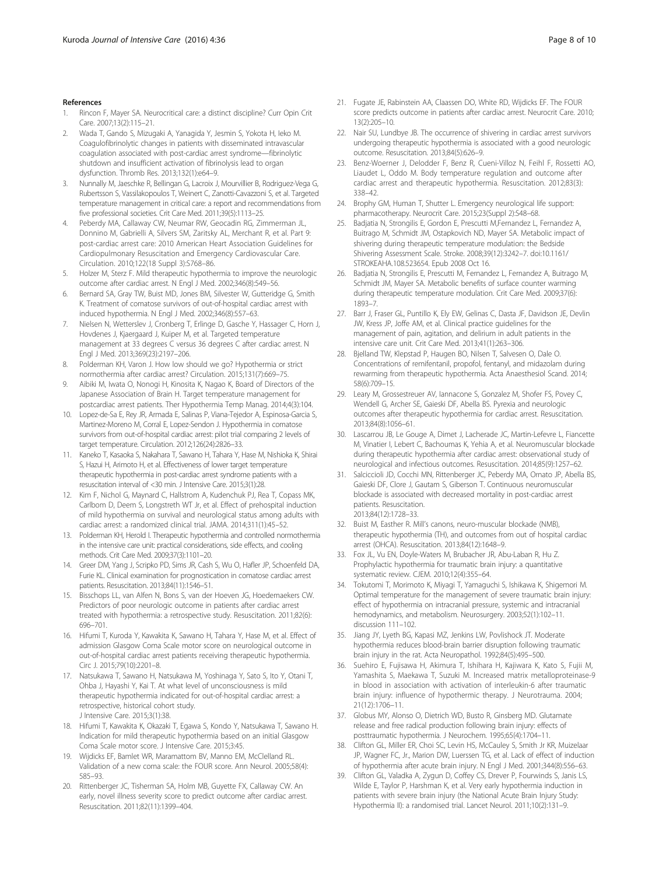- <span id="page-7-0"></span>Rincon F, Mayer SA. Neurocritical care: a distinct discipline? Curr Opin Crit Care. 2007;13(2):115–21.
- 2. Wada T, Gando S, Mizugaki A, Yanagida Y, Jesmin S, Yokota H, Ieko M. Coagulofibrinolytic changes in patients with disseminated intravascular coagulation associated with post-cardiac arrest syndrome—fibrinolytic shutdown and insufficient activation of fibrinolysis lead to organ dysfunction. Thromb Res. 2013;132(1):e64–9.
- 3. Nunnally M, Jaeschke R, Bellingan G, Lacroix J, Mourvillier B, Rodriguez-Vega G, Rubertsson S, Vassilakopoulos T, Weinert C, Zanotti-Cavazzoni S, et al. Targeted temperature management in critical care: a report and recommendations from five professional societies. Crit Care Med. 2011;39(5):1113–25.
- 4. Peberdy MA, Callaway CW, Neumar RW, Geocadin RG, Zimmerman JL, Donnino M, Gabrielli A, Silvers SM, Zaritsky AL, Merchant R, et al. Part 9: post-cardiac arrest care: 2010 American Heart Association Guidelines for Cardiopulmonary Resuscitation and Emergency Cardiovascular Care. Circulation. 2010;122(18 Suppl 3):S768–86.
- 5. Holzer M, Sterz F. Mild therapeutic hypothermia to improve the neurologic outcome after cardiac arrest. N Engl J Med. 2002;346(8):549–56.
- 6. Bernard SA, Gray TW, Buist MD, Jones BM, Silvester W, Gutteridge G, Smith K. Treatment of comatose survivors of out-of-hospital cardiac arrest with induced hypothermia. N Engl J Med. 2002;346(8):557–63.
- 7. Nielsen N, Wetterslev J, Cronberg T, Erlinge D, Gasche Y, Hassager C, Horn J, Hovdenes J, Kjaergaard J, Kuiper M, et al. Targeted temperature management at 33 degrees C versus 36 degrees C after cardiac arrest. N Engl J Med. 2013;369(23):2197–206.
- 8. Polderman KH, Varon J. How low should we go? Hypothermia or strict normothermia after cardiac arrest? Circulation. 2015;131(7):669–75.
- 9. Aibiki M, Iwata O, Nonogi H, Kinosita K, Nagao K, Board of Directors of the Japanese Association of Brain H. Target temperature management for postcardiac arrest patients. Ther Hypothermia Temp Manag. 2014;4(3):104.
- 10. Lopez-de-Sa E, Rey JR, Armada E, Salinas P, Viana-Tejedor A, Espinosa-Garcia S, Martinez-Moreno M, Corral E, Lopez-Sendon J. Hypothermia in comatose survivors from out-of-hospital cardiac arrest: pilot trial comparing 2 levels of target temperature. Circulation. 2012;126(24):2826–33.
- 11. Kaneko T, Kasaoka S, Nakahara T, Sawano H, Tahara Y, Hase M, Nishioka K, Shirai S, Hazui H, Arimoto H, et al. Effectiveness of lower target temperature therapeutic hypothermia in post-cardiac arrest syndrome patients with a resuscitation interval of <30 min. J Intensive Care. 2015;3(1):28.
- 12. Kim F, Nichol G, Maynard C, Hallstrom A, Kudenchuk PJ, Rea T, Copass MK, Carlbom D, Deem S, Longstreth WT Jr, et al. Effect of prehospital induction of mild hypothermia on survival and neurological status among adults with cardiac arrest: a randomized clinical trial. JAMA. 2014;311(1):45–52.
- 13. Polderman KH, Herold I. Therapeutic hypothermia and controlled normothermia in the intensive care unit: practical considerations, side effects, and cooling methods. Crit Care Med. 2009;37(3):1101–20.
- 14. Greer DM, Yang J, Scripko PD, Sims JR, Cash S, Wu O, Hafler JP, Schoenfeld DA, Furie KL. Clinical examination for prognostication in comatose cardiac arrest patients. Resuscitation. 2013;84(11):1546–51.
- 15. Bisschops LL, van Alfen N, Bons S, van der Hoeven JG, Hoedemaekers CW. Predictors of poor neurologic outcome in patients after cardiac arrest treated with hypothermia: a retrospective study. Resuscitation. 2011;82(6): 696–701.
- 16. Hifumi T, Kuroda Y, Kawakita K, Sawano H, Tahara Y, Hase M, et al. Effect of admission Glasgow Coma Scale motor score on neurological outcome in out-of-hospital cardiac arrest patients receiving therapeutic hypothermia. Circ J. 2015;79(10):2201–8.
- 17. Natsukawa T, Sawano H, Natsukawa M, Yoshinaga Y, Sato S, Ito Y, Otani T, Ohba J, Hayashi Y, Kai T. At what level of unconsciousness is mild therapeutic hypothermia indicated for out-of-hospital cardiac arrest: a retrospective, historical cohort study. J Intensive Care. 2015;3(1):38.
- 18. Hifumi T, Kawakita K, Okazaki T, Egawa S, Kondo Y, Natsukawa T, Sawano H. Indication for mild therapeutic hypothermia based on an initial Glasgow Coma Scale motor score. J Intensive Care. 2015;3:45.
- 19. Wijdicks EF, Bamlet WR, Maramattom BV, Manno EM, McClelland RL. Validation of a new coma scale: the FOUR score. Ann Neurol. 2005;58(4): 585–93.
- 20. Rittenberger JC, Tisherman SA, Holm MB, Guyette FX, Callaway CW. An early, novel illness severity score to predict outcome after cardiac arrest. Resuscitation. 2011;82(11):1399–404.
- 21. Fugate JE, Rabinstein AA, Claassen DO, White RD, Wijdicks EF. The FOUR score predicts outcome in patients after cardiac arrest. Neurocrit Care. 2010; 13(2):205–10.
- 22. Nair SU, Lundbye JB. The occurrence of shivering in cardiac arrest survivors undergoing therapeutic hypothermia is associated with a good neurologic outcome. Resuscitation. 2013;84(5):626–9.
- Benz-Woerner J, Delodder F, Benz R, Cueni-Villoz N, Feihl F, Rossetti AO, Liaudet L, Oddo M. Body temperature regulation and outcome after cardiac arrest and therapeutic hypothermia. Resuscitation. 2012;83(3): 338–42.
- 24. Brophy GM, Human T, Shutter L. Emergency neurological life support: pharmacotherapy. Neurocrit Care. 2015;23(Suppl 2):S48–68.
- 25. Badjatia N, Strongilis E, Gordon E, Prescutti M,Fernandez L, Fernandez A, Buitrago M, Schmidt JM, Ostapkovich ND, Mayer SA. Metabolic impact of shivering during therapeutic temperature modulation: the Bedside Shivering Assessment Scale. Stroke. 2008;39(12):3242–7. doi:[10.1161/](http://dx.doi.org/10.1161/STROKEAHA.108.523654) [STROKEAHA.108.523654](http://dx.doi.org/10.1161/STROKEAHA.108.523654). Epub 2008 Oct 16.
- 26. Badjatia N, Strongilis E, Prescutti M, Fernandez L, Fernandez A, Buitrago M, Schmidt JM, Mayer SA. Metabolic benefits of surface counter warming during therapeutic temperature modulation. Crit Care Med. 2009;37(6): 1893–7.
- 27. Barr J, Fraser GL, Puntillo K, Ely EW, Gelinas C, Dasta JF, Davidson JE, Devlin JW, Kress JP, Joffe AM, et al. Clinical practice guidelines for the management of pain, agitation, and delirium in adult patients in the intensive care unit. Crit Care Med. 2013;41(1):263–306.
- 28. Bjelland TW, Klepstad P, Haugen BO, Nilsen T, Salvesen O, Dale O. Concentrations of remifentanil, propofol, fentanyl, and midazolam during rewarming from therapeutic hypothermia. Acta Anaesthesiol Scand. 2014; 58(6):709–15.
- 29. Leary M, Grossestreuer AV, Iannacone S, Gonzalez M, Shofer FS, Povey C, Wendell G, Archer SE, Gaieski DF, Abella BS. Pyrexia and neurologic outcomes after therapeutic hypothermia for cardiac arrest. Resuscitation. 2013;84(8):1056–61.
- 30. Lascarrou JB, Le Gouge A, Dimet J, Lacherade JC, Martin-Lefevre L, Fiancette M, Vinatier I, Lebert C, Bachoumas K, Yehia A, et al. Neuromuscular blockade during therapeutic hypothermia after cardiac arrest: observational study of neurological and infectious outcomes. Resuscitation. 2014;85(9):1257–62.
- 31. Salciccioli JD, Cocchi MN, Rittenberger JC, Peberdy MA, Ornato JP, Abella BS, Gaieski DF, Clore J, Gautam S, Giberson T. Continuous neuromuscular blockade is associated with decreased mortality in post-cardiac arrest patients. Resuscitation. 2013;84(12):1728–33.
- 32. Buist M, Easther R. Mill's canons, neuro-muscular blockade (NMB), therapeutic hypothermia (TH), and outcomes from out of hospital cardiac arrest (OHCA). Resuscitation. 2013;84(12):1648–9.
- 33. Fox JL, Vu EN, Doyle-Waters M, Brubacher JR, Abu-Laban R, Hu Z. Prophylactic hypothermia for traumatic brain injury: a quantitative systematic review. CJEM. 2010;12(4):355–64.
- 34. Tokutomi T, Morimoto K, Miyagi T, Yamaguchi S, Ishikawa K, Shigemori M. Optimal temperature for the management of severe traumatic brain injury: effect of hypothermia on intracranial pressure, systemic and intracranial hemodynamics, and metabolism. Neurosurgery. 2003;52(1):102–11. discussion 111–102.
- 35. Jiang JY, Lyeth BG, Kapasi MZ, Jenkins LW, Povlishock JT. Moderate hypothermia reduces blood-brain barrier disruption following traumatic brain injury in the rat. Acta Neuropathol. 1992;84(5):495–500.
- 36. Suehiro E, Fujisawa H, Akimura T, Ishihara H, Kajiwara K, Kato S, Fujii M, Yamashita S, Maekawa T, Suzuki M. Increased matrix metalloproteinase-9 in blood in association with activation of interleukin-6 after traumatic brain injury: influence of hypothermic therapy. J Neurotrauma. 2004; 21(12):1706–11.
- 37. Globus MY, Alonso O, Dietrich WD, Busto R, Ginsberg MD. Glutamate release and free radical production following brain injury: effects of posttraumatic hypothermia. J Neurochem. 1995;65(4):1704–11.
- 38. Clifton GL, Miller ER, Choi SC, Levin HS, McCauley S, Smith Jr KR, Muizelaar JP, Wagner FC, Jr., Marion DW, Luerssen TG, et al. Lack of effect of induction of hypothermia after acute brain injury. N Engl J Med. 2001;344(8):556–63.
- 39. Clifton GL, Valadka A, Zygun D, Coffey CS, Drever P, Fourwinds S, Janis LS, Wilde E, Taylor P, Harshman K, et al. Very early hypothermia induction in patients with severe brain injury (the National Acute Brain Injury Study: Hypothermia II): a randomised trial. Lancet Neurol. 2011;10(2):131–9.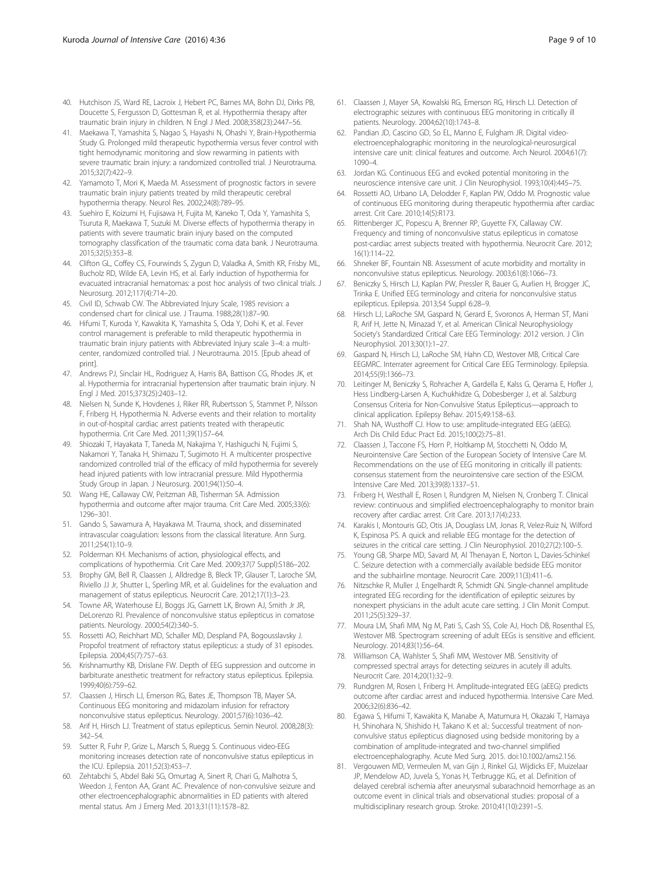- <span id="page-8-0"></span>40. Hutchison JS, Ward RE, Lacroix J, Hebert PC, Barnes MA, Bohn DJ, Dirks PB, Doucette S, Fergusson D, Gottesman R, et al. Hypothermia therapy after traumatic brain injury in children. N Engl J Med. 2008;358(23):2447–56.
- 41. Maekawa T, Yamashita S, Nagao S, Hayashi N, Ohashi Y, Brain-Hypothermia Study G. Prolonged mild therapeutic hypothermia versus fever control with tight hemodynamic monitoring and slow rewarming in patients with severe traumatic brain injury: a randomized controlled trial. J Neurotrauma. 2015;32(7):422–9.
- 42. Yamamoto T, Mori K, Maeda M. Assessment of prognostic factors in severe traumatic brain injury patients treated by mild therapeutic cerebral hypothermia therapy. Neurol Res. 2002;24(8):789–95.
- 43. Suehiro E, Koizumi H, Fujisawa H, Fujita M, Kaneko T, Oda Y, Yamashita S, Tsuruta R, Maekawa T, Suzuki M. Diverse effects of hypothermia therapy in patients with severe traumatic brain injury based on the computed tomography classification of the traumatic coma data bank. J Neurotrauma. 2015;32(5):353–8.
- 44. Clifton GL, Coffey CS, Fourwinds S, Zygun D, Valadka A, Smith KR, Frisby ML, Bucholz RD, Wilde EA, Levin HS, et al. Early induction of hypothermia for evacuated intracranial hematomas: a post hoc analysis of two clinical trials. J Neurosurg. 2012;117(4):714–20.
- 45. Civil ID, Schwab CW. The Abbreviated Injury Scale, 1985 revision: a condensed chart for clinical use. J Trauma. 1988;28(1):87–90.
- 46. Hifumi T, Kuroda Y, Kawakita K, Yamashita S, Oda Y, Dohi K, et al. Fever control management is preferable to mild therapeutic hypothermia in traumatic brain injury patients with Abbreviated Injury scale 3–4: a multicenter, randomized controlled trial. J Neurotrauma. 2015. [Epub ahead of print].
- 47. Andrews PJ, Sinclair HL, Rodriguez A, Harris BA, Battison CG, Rhodes JK, et al. Hypothermia for intracranial hypertension after traumatic brain injury. N Engl J Med. 2015;373(25):2403–12.
- 48. Nielsen N, Sunde K, Hovdenes J, Riker RR, Rubertsson S, Stammet P, Nilsson F, Friberg H, Hypothermia N. Adverse events and their relation to mortality in out-of-hospital cardiac arrest patients treated with therapeutic hypothermia. Crit Care Med. 2011;39(1):57–64.
- 49. Shiozaki T, Hayakata T, Taneda M, Nakajima Y, Hashiguchi N, Fujimi S, Nakamori Y, Tanaka H, Shimazu T, Sugimoto H. A multicenter prospective randomized controlled trial of the efficacy of mild hypothermia for severely head injured patients with low intracranial pressure. Mild Hypothermia Study Group in Japan. J Neurosurg. 2001;94(1):50–4.
- 50. Wang HE, Callaway CW, Peitzman AB, Tisherman SA. Admission hypothermia and outcome after major trauma. Crit Care Med. 2005;33(6): 1296–301.
- 51. Gando S, Sawamura A, Hayakawa M. Trauma, shock, and disseminated intravascular coagulation: lessons from the classical literature. Ann Surg. 2011;254(1):10–9.
- 52. Polderman KH. Mechanisms of action, physiological effects, and complications of hypothermia. Crit Care Med. 2009;37(7 Suppl):S186–202.
- 53. Brophy GM, Bell R, Claassen J, Alldredge B, Bleck TP, Glauser T, Laroche SM, Riviello JJ Jr, Shutter L, Sperling MR, et al. Guidelines for the evaluation and management of status epilepticus. Neurocrit Care. 2012;17(1):3–23.
- 54. Towne AR, Waterhouse EJ, Boggs JG, Garnett LK, Brown AJ, Smith Jr JR, DeLorenzo RJ. Prevalence of nonconvulsive status epilepticus in comatose patients. Neurology. 2000;54(2):340–5.
- 55. Rossetti AO, Reichhart MD, Schaller MD, Despland PA, Bogousslavsky J. Propofol treatment of refractory status epilepticus: a study of 31 episodes. Epilepsia. 2004;45(7):757–63.
- 56. Krishnamurthy KB, Drislane FW. Depth of EEG suppression and outcome in barbiturate anesthetic treatment for refractory status epilepticus. Epilepsia. 1999;40(6):759–62.
- 57. Claassen J, Hirsch LJ, Emerson RG, Bates JE, Thompson TB, Mayer SA. Continuous EEG monitoring and midazolam infusion for refractory nonconvulsive status epilepticus. Neurology. 2001;57(6):1036–42.
- 58. Arif H, Hirsch LJ. Treatment of status epilepticus. Semin Neurol. 2008;28(3): 342–54.
- 59. Sutter R, Fuhr P, Grize L, Marsch S, Ruegg S. Continuous video-EEG monitoring increases detection rate of nonconvulsive status epilepticus in the ICU. Epilepsia. 2011;52(3):453–7.
- 60. Zehtabchi S, Abdel Baki SG, Omurtag A, Sinert R, Chari G, Malhotra S, Weedon J, Fenton AA, Grant AC. Prevalence of non-convulsive seizure and other electroencephalographic abnormalities in ED patients with altered mental status. Am J Emerg Med. 2013;31(11):1578–82.
- 61. Claassen J, Mayer SA, Kowalski RG, Emerson RG, Hirsch LJ. Detection of electrographic seizures with continuous EEG monitoring in critically ill patients. Neurology. 2004;62(10):1743–8.
- 62. Pandian JD, Cascino GD, So EL, Manno E, Fulgham JR. Digital videoelectroencephalographic monitoring in the neurological-neurosurgical intensive care unit: clinical features and outcome. Arch Neurol. 2004;61(7): 1090–4.
- 63. Jordan KG. Continuous EEG and evoked potential monitoring in the neuroscience intensive care unit. J Clin Neurophysiol. 1993;10(4):445–75.
- 64. Rossetti AO, Urbano LA, Delodder F, Kaplan PW, Oddo M. Prognostic value of continuous EEG monitoring during therapeutic hypothermia after cardiac arrest. Crit Care. 2010;14(5):R173.
- 65. Rittenberger JC, Popescu A, Brenner RP, Guyette FX, Callaway CW. Frequency and timing of nonconvulsive status epilepticus in comatose post-cardiac arrest subjects treated with hypothermia. Neurocrit Care. 2012; 16(1):114–22.
- 66. Shneker BF, Fountain NB. Assessment of acute morbidity and mortality in nonconvulsive status epilepticus. Neurology. 2003;61(8):1066–73.
- 67. Beniczky S, Hirsch LJ, Kaplan PW, Pressler R, Bauer G, Aurlien H, Brogger JC, Trinka E. Unified EEG terminology and criteria for nonconvulsive status epilepticus. Epilepsia. 2013;54 Suppl 6:28–9.
- 68. Hirsch LJ, LaRoche SM, Gaspard N, Gerard E, Svoronos A, Herman ST, Mani R, Arif H, Jette N, Minazad Y, et al. American Clinical Neurophysiology Society's Standardized Critical Care EEG Terminology: 2012 version. J Clin Neurophysiol. 2013;30(1):1–27.
- 69. Gaspard N, Hirsch LJ, LaRoche SM, Hahn CD, Westover MB, Critical Care EEGMRC. Interrater agreement for Critical Care EEG Terminology. Epilepsia. 2014;55(9):1366–73.
- 70. Leitinger M, Beniczky S, Rohracher A, Gardella E, Kalss G, Qerama E, Hofler J, Hess Lindberg-Larsen A, Kuchukhidze G, Dobesberger J, et al. Salzburg Consensus Criteria for Non-Convulsive Status Epilepticus—approach to clinical application. Epilepsy Behav. 2015;49:158–63.
- 71. Shah NA, Wusthoff CJ. How to use: amplitude-integrated EEG (aEEG). Arch Dis Child Educ Pract Ed. 2015;100(2):75–81.
- 72. Claassen J, Taccone FS, Horn P, Holtkamp M, Stocchetti N, Oddo M, Neurointensive Care Section of the European Society of Intensive Care M. Recommendations on the use of EEG monitoring in critically ill patients: consensus statement from the neurointensive care section of the ESICM. Intensive Care Med. 2013;39(8):1337–51.
- 73. Friberg H, Westhall E, Rosen I, Rundgren M, Nielsen N, Cronberg T. Clinical review: continuous and simplified electroencephalography to monitor brain recovery after cardiac arrest. Crit Care. 2013;17(4):233.
- 74. Karakis I, Montouris GD, Otis JA, Douglass LM, Jonas R, Velez-Ruiz N, Wilford K, Espinosa PS. A quick and reliable EEG montage for the detection of seizures in the critical care setting. J Clin Neurophysiol. 2010;27(2):100–5.
- 75. Young GB, Sharpe MD, Savard M, Al Thenayan E, Norton L, Davies-Schinkel C. Seizure detection with a commercially available bedside EEG monitor and the subhairline montage. Neurocrit Care. 2009;11(3):411–6.
- 76. Nitzschke R, Muller J, Engelhardt R, Schmidt GN. Single-channel amplitude integrated EEG recording for the identification of epileptic seizures by nonexpert physicians in the adult acute care setting. J Clin Monit Comput. 2011;25(5):329–37.
- 77. Moura LM, Shafi MM, Ng M, Pati S, Cash SS, Cole AJ, Hoch DB, Rosenthal ES, Westover MB. Spectrogram screening of adult EEGs is sensitive and efficient. Neurology. 2014;83(1):56–64.
- 78. Williamson CA, Wahlster S, Shafi MM, Westover MB. Sensitivity of compressed spectral arrays for detecting seizures in acutely ill adults. Neurocrit Care. 2014;20(1):32–9.
- 79. Rundgren M, Rosen I, Friberg H. Amplitude-integrated EEG (aEEG) predicts outcome after cardiac arrest and induced hypothermia. Intensive Care Med. 2006;32(6):836–42.
- 80. Egawa S, Hifumi T, Kawakita K, Manabe A, Matumura H, Okazaki T, Hamaya H, Shinohara N, Shishido H, Takano K et al.: Successful treatment of nonconvulsive status epilepticus diagnosed using bedside monitoring by a combination of amplitude-integrated and two-channel simplified electroencephalography. Acute Med Surg. 2015. doi[:10.1002/ams2.156.](http://dx.doi.org/10.1002/ams2.156)
- 81. Vergouwen MD, Vermeulen M, van Gijn J, Rinkel GJ, Wijdicks EF, Muizelaar JP, Mendelow AD, Juvela S, Yonas H, Terbrugge KG, et al. Definition of delayed cerebral ischemia after aneurysmal subarachnoid hemorrhage as an outcome event in clinical trials and observational studies: proposal of a multidisciplinary research group. Stroke. 2010;41(10):2391–5.